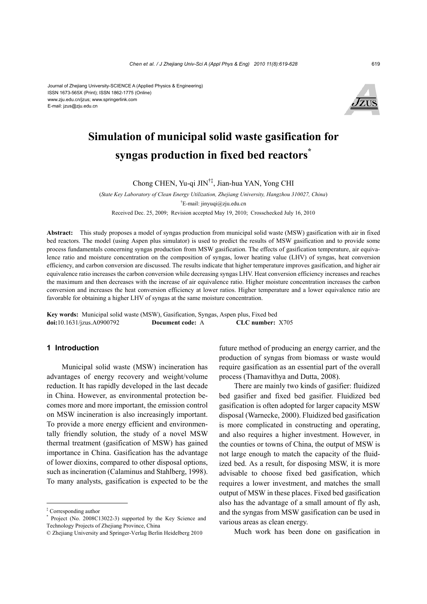Journal of Zhejiang University-SCIENCE A (Applied Physics & Engineering) ISSN 1673-565X (Print); ISSN 1862-1775 (Online) www.zju.edu.cn/jzus; www.springerlink.com E-mail: jzus@zju.edu.cn



## **Simulation of municipal solid waste gasification for syngas production in fixed bed reactors\***

Chong CHEN, Yu-qi JIN†‡, Jian-hua YAN, Yong CHI

(*State Key Laboratory of Clean Energy Utilization, Zhejiang University, Hangzhou 310027, China*) † E-mail: jinyuqi@zju.edu.cn Received Dec. 25, 2009; Revision accepted May 19, 2010; Crosschecked July 16, 2010

**Abstract:** This study proposes a model of syngas production from municipal solid waste (MSW) gasification with air in fixed bed reactors. The model (using Aspen plus simulator) is used to predict the results of MSW gasification and to provide some process fundamentals concerning syngas production from MSW gasification. The effects of gasification temperature, air equivalence ratio and moisture concentration on the composition of syngas, lower heating value (LHV) of syngas, heat conversion efficiency, and carbon conversion are discussed. The results indicate that higher temperature improves gasification, and higher air equivalence ratio increases the carbon conversion while decreasing syngas LHV. Heat conversion efficiency increases and reaches the maximum and then decreases with the increase of air equivalence ratio. Higher moisture concentration increases the carbon conversion and increases the heat conversion efficiency at lower ratios. Higher temperature and a lower equivalence ratio are favorable for obtaining a higher LHV of syngas at the same moisture concentration.

**Key words:** Municipal solid waste (MSW), Gasification, Syngas, Aspen plus, Fixed bed **doi:**10.1631/jzus.A0900792 **Document code:** A **CLC number:** X705

### **1 Introduction**

Municipal solid waste (MSW) incineration has advantages of energy recovery and weight/volume reduction. It has rapidly developed in the last decade in China. However, as environmental protection becomes more and more important, the emission control on MSW incineration is also increasingly important. To provide a more energy efficient and environmentally friendly solution, the study of a novel MSW thermal treatment (gasification of MSW) has gained importance in China. Gasification has the advantage of lower dioxins, compared to other disposal options, such as incineration (Calaminus and Stahlberg, 1998). To many analysts, gasification is expected to be the

future method of producing an energy carrier, and the production of syngas from biomass or waste would require gasification as an essential part of the overall process (Thamavithya and Dutta, 2008).

There are mainly two kinds of gasifier: fluidized bed gasifier and fixed bed gasifier. Fluidized bed gasification is often adopted for larger capacity MSW disposal (Warnecke, 2000). Fluidized bed gasification is more complicated in constructing and operating, and also requires a higher investment. However, in the counties or towns of China, the output of MSW is not large enough to match the capacity of the fluidized bed. As a result, for disposing MSW, it is more advisable to choose fixed bed gasification, which requires a lower investment, and matches the small output of MSW in these places. Fixed bed gasification also has the advantage of a small amount of fly ash, and the syngas from MSW gasification can be used in various areas as clean energy.

Much work has been done on gasification in

<sup>‡</sup> Corresponding author

**<sup>\*</sup>** Project (No. 2008C13022-3) supported by the Key Science and Technology Projects of Zhejiang Province, China

<sup>©</sup> Zhejiang University and Springer-Verlag Berlin Heidelberg 2010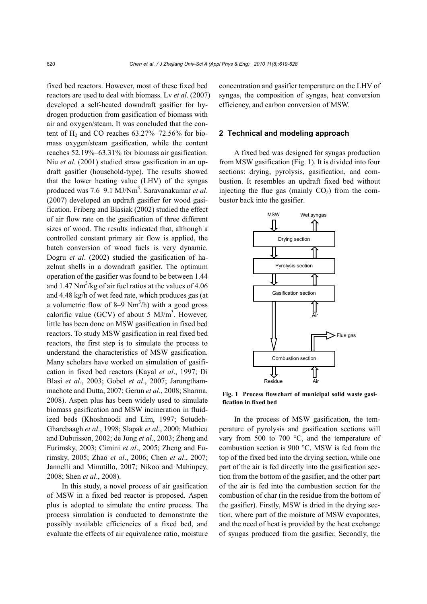fixed bed reactors. However, most of these fixed bed reactors are used to deal with biomass. Lv *et al*. (2007) developed a self-heated downdraft gasifier for hydrogen production from gasification of biomass with air and oxygen/steam. It was concluded that the content of  $H_2$  and CO reaches 63.27%–72.56% for biomass oxygen/steam gasification, while the content reaches 52.19%–63.31% for biomass air gasification. Niu *et al*. (2001) studied straw gasification in an updraft gasifier (household-type). The results showed that the lower heating value (LHV) of the syngas produced was 7.6–9.1 MJ/Nm<sup>3</sup>. Saravanakumar *et al*. (2007) developed an updraft gasifier for wood gasification. Friberg and Blasiak (2002) studied the effect of air flow rate on the gasification of three different sizes of wood. The results indicated that, although a controlled constant primary air flow is applied, the batch conversion of wood fuels is very dynamic. Dogru *et al*. (2002) studied the gasification of hazelnut shells in a downdraft gasifier. The optimum operation of the gasifier was found to be between 1.44 and  $1.47$  Nm<sup>3</sup>/kg of air fuel ratios at the values of  $4.06$ and 4.48 kg/h of wet feed rate, which produces gas (at a volumetric flow of  $8-9$  Nm<sup>3</sup>/h) with a good gross calorific value (GCV) of about 5  $MJ/m<sup>3</sup>$ . However, little has been done on MSW gasification in fixed bed reactors. To study MSW gasification in real fixed bed reactors, the first step is to simulate the process to understand the characteristics of MSW gasification. Many scholars have worked on simulation of gasification in fixed bed reactors (Kayal *et al*., 1997; Di Blasi *et al*., 2003; Gobel *et al*., 2007; Jarungthammachote and Dutta, 2007; Gerun *et al*., 2008; Sharma, 2008). Aspen plus has been widely used to simulate biomass gasification and MSW incineration in fluidized beds (Khoshnoodi and Lim, 1997; Sotudeh-Gharebaagh *et al*., 1998; Slapak *et al*., 2000; Mathieu and Dubuisson, 2002; de Jong *et al*., 2003; Zheng and Furimsky, 2003; Cimini *et al*., 2005; Zheng and Furimsky, 2005; Zhao *et al*., 2006; Chen *et al*., 2007; Jannelli and Minutillo, 2007; Nikoo and Mahinpey, 2008; Shen *et al*., 2008).

In this study, a novel process of air gasification of MSW in a fixed bed reactor is proposed. Aspen plus is adopted to simulate the entire process. The process simulation is conducted to demonstrate the possibly available efficiencies of a fixed bed, and evaluate the effects of air equivalence ratio, moisture

concentration and gasifier temperature on the LHV of syngas, the composition of syngas, heat conversion efficiency, and carbon conversion of MSW.

#### **2 Technical and modeling approach**

A fixed bed was designed for syngas production from MSW gasification (Fig. 1). It is divided into four sections: drying, pyrolysis, gasification, and combustion. It resembles an updraft fixed bed without injecting the flue gas (mainly  $CO<sub>2</sub>$ ) from the combustor back into the gasifier.



**Fig. 1 Process flowchart of municipal solid waste gasification in fixed bed**

In the process of MSW gasification, the temperature of pyrolysis and gasification sections will vary from 500 to 700 °C, and the temperature of combustion section is 900 °C. MSW is fed from the top of the fixed bed into the drying section, while one part of the air is fed directly into the gasification section from the bottom of the gasifier, and the other part of the air is fed into the combustion section for the combustion of char (in the residue from the bottom of the gasifier). Firstly, MSW is dried in the drying section, where part of the moisture of MSW evaporates, and the need of heat is provided by the heat exchange of syngas produced from the gasifier. Secondly, the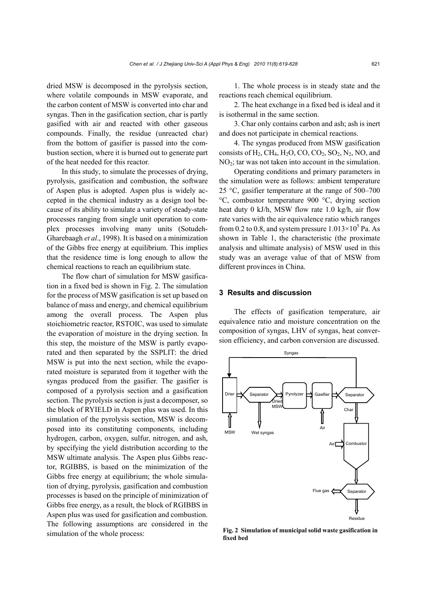dried MSW is decomposed in the pyrolysis section, where volatile compounds in MSW evaporate, and the carbon content of MSW is converted into char and syngas. Then in the gasification section, char is partly gasified with air and reacted with other gaseous compounds. Finally, the residue (unreacted char) from the bottom of gasifier is passed into the combustion section, where it is burned out to generate part of the heat needed for this reactor.

In this study, to simulate the processes of drying, pyrolysis, gasification and combustion, the software of Aspen plus is adopted. Aspen plus is widely accepted in the chemical industry as a design tool because of its ability to simulate a variety of steady-state processes ranging from single unit operation to complex processes involving many units (Sotudeh-Gharebaagh *et al*., 1998). It is based on a minimization of the Gibbs free energy at equilibrium. This implies that the residence time is long enough to allow the chemical reactions to reach an equilibrium state.

The flow chart of simulation for MSW gasification in a fixed bed is shown in Fig. 2. The simulation for the process of MSW gasification is set up based on balance of mass and energy, and chemical equilibrium among the overall process. The Aspen plus stoichiometric reactor, RSTOIC, was used to simulate the evaporation of moisture in the drying section. In this step, the moisture of the MSW is partly evaporated and then separated by the SSPLIT: the dried MSW is put into the next section, while the evaporated moisture is separated from it together with the syngas produced from the gasifier. The gasifier is composed of a pyrolysis section and a gasification section. The pyrolysis section is just a decomposer, so the block of RYIELD in Aspen plus was used. In this simulation of the pyrolysis section, MSW is decomposed into its constituting components, including hydrogen, carbon, oxygen, sulfur, nitrogen, and ash, by specifying the yield distribution according to the MSW ultimate analysis. The Aspen plus Gibbs reactor, RGIBBS, is based on the minimization of the Gibbs free energy at equilibrium; the whole simulation of drying, pyrolysis, gasification and combustion processes is based on the principle of minimization of Gibbs free energy, as a result, the block of RGIBBS in Aspen plus was used for gasification and combustion. The following assumptions are considered in the simulation of the whole process:

1. The whole process is in steady state and the reactions reach chemical equilibrium.

2. The heat exchange in a fixed bed is ideal and it is isothermal in the same section.

3. Char only contains carbon and ash; ash is inert and does not participate in chemical reactions.

4. The syngas produced from MSW gasification consists of  $H_2$ , CH<sub>4</sub>, H<sub>2</sub>O, CO, CO<sub>2</sub>, SO<sub>2</sub>, N<sub>2</sub>, NO, and  $NO<sub>2</sub>$ ; tar was not taken into account in the simulation.

Operating conditions and primary parameters in the simulation were as follows: ambient temperature 25 °C, gasifier temperature at the range of 500–700 °C, combustor temperature 900 °C, drying section heat duty 0 kJ/h, MSW flow rate 1.0 kg/h, air flow rate varies with the air equivalence ratio which ranges from 0.2 to 0.8, and system pressure  $1.013 \times 10^5$  Pa. As shown in Table 1, the characteristic (the proximate analysis and ultimate analysis) of MSW used in this study was an average value of that of MSW from different provinces in China.

#### **3 Results and discussion**

The effects of gasification temperature, air equivalence ratio and moisture concentration on the composition of syngas, LHV of syngas, heat conversion efficiency, and carbon conversion are discussed.



**Fig. 2 Simulation of municipal solid waste gasification in fixed bed**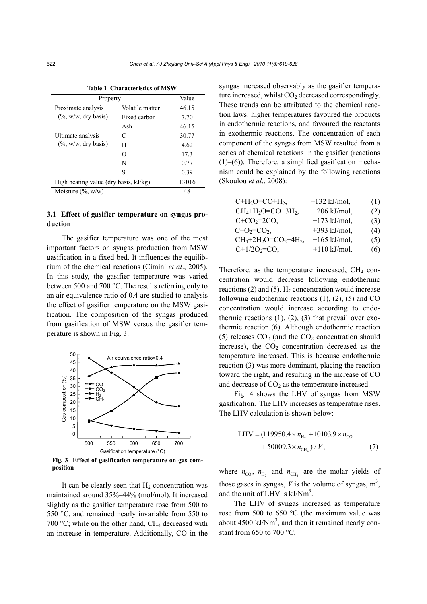| Property                              |                 | Value |
|---------------------------------------|-----------------|-------|
| Proximate analysis                    | Volatile matter | 46.15 |
| $(\%$ , w/w, dry basis)               | Fixed carbon    | 7.70  |
|                                       | Ash             | 46.15 |
| Ultimate analysis                     | C               | 30.77 |
| $(\%$ , w/w, dry basis)               | Н               | 4.62  |
|                                       | O               | 17.3  |
|                                       | N               | 0.77  |
|                                       | S               | 0.39  |
| High heating value (dry basis, kJ/kg) |                 | 13016 |
| Moisture $(\%$ , w/w)                 |                 | 48    |

**Table 1 Characteristics of MSW** 

## **3.1 Effect of gasifier temperature on syngas production**

The gasifier temperature was one of the most important factors on syngas production from MSW gasification in a fixed bed. It influences the equilibrium of the chemical reactions (Cimini *et al*., 2005). In this study, the gasifier temperature was varied between 500 and 700 °C. The results referring only to an air equivalence ratio of 0.4 are studied to analysis the effect of gasifier temperature on the MSW gasification. The composition of the syngas produced from gasification of MSW versus the gasifier temperature is shown in Fig. 3.



**Fig. 3 Effect of gasification temperature on gas composition** 

It can be clearly seen that  $H_2$  concentration was maintained around 35%–44% (mol/mol). It increased slightly as the gasifier temperature rose from 500 to 550 °C, and remained nearly invariable from 550 to 700 °C; while on the other hand,  $CH<sub>4</sub>$  decreased with an increase in temperature. Additionally, CO in the syngas increased observably as the gasifier temperature increased, whilst  $CO<sub>2</sub>$  decreased correspondingly. These trends can be attributed to the chemical reaction laws: higher temperatures favoured the products in endothermic reactions, and favoured the reactants in exothermic reactions. The concentration of each component of the syngas from MSW resulted from a series of chemical reactions in the gasifier (reactions  $(1)$ – $(6)$ ). Therefore, a simplified gasification mechanism could be explained by the following reactions (Skoulou *et al*., 2008):

| $-132$ kJ/mol, | (1) |
|----------------|-----|
| $-206$ kJ/mol, | (2) |
| $-173$ kJ/mol, | (3) |
| $+393$ kJ/mol, | (4) |
| $-165$ kJ/mol, | (5) |
| $+110$ kJ/mol. | (6) |
|                |     |

Therefore, as the temperature increased,  $CH<sub>4</sub>$  concentration would decrease following endothermic reactions (2) and (5).  $H_2$  concentration would increase following endothermic reactions (1), (2), (5) and CO concentration would increase according to endothermic reactions  $(1)$ ,  $(2)$ ,  $(3)$  that prevail over exothermic reaction (6). Although endothermic reaction (5) releases  $CO<sub>2</sub>$  (and the  $CO<sub>2</sub>$  concentration should increase), the  $CO<sub>2</sub>$  concentration decreased as the temperature increased. This is because endothermic reaction (3) was more dominant, placing the reaction toward the right, and resulting in the increase of CO and decrease of  $CO<sub>2</sub>$  as the temperature increased.

Fig. 4 shows the LHV of syngas from MSW gasification. The LHV increases as temperature rises. The LHV calculation is shown below:

$$
LHV = (119950.4 \times n_{H_2} + 10103.9 \times n_{CO} + 50009.3 \times n_{CH_4}) / V,
$$
 (7)

where  $n_{\text{CO}}$ ,  $n_{\text{H}_2}$  and  $n_{\text{CH}_4}$  are the molar yields of those gases in syngas,  $V$  is the volume of syngas,  $m^3$ , and the unit of LHV is  $kJ/Nm<sup>3</sup>$ .

The LHV of syngas increased as temperature rose from 500 to 650 °C (the maximum value was about  $4500 \text{ kJ/Nm}^3$ , and then it remained nearly constant from 650 to 700 °C.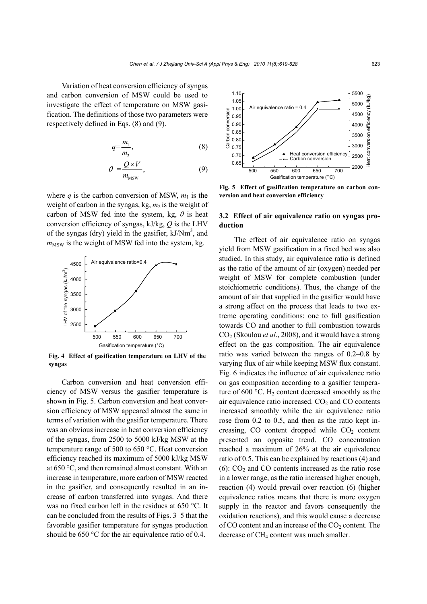Variation of heat conversion efficiency of syngas and carbon conversion of MSW could be used to investigate the effect of temperature on MSW gasification. The definitions of those two parameters were respectively defined in Eqs. (8) and (9).

$$
q = \frac{m_1}{m_2},\tag{8}
$$

$$
\theta = \frac{Q \times V}{m_{\text{MSW}}},\tag{9}
$$

where  $q$  is the carbon conversion of MSW,  $m_1$  is the weight of carbon in the syngas,  $kg, m<sub>2</sub>$  is the weight of carbon of MSW fed into the system, kg, *θ* is heat conversion efficiency of syngas, kJ/kg, *Q* is the LHV of the syngas (dry) yield in the gasifier,  $kJ/Nm<sup>3</sup>$ , and  $m_{\text{MSW}}$  is the weight of MSW fed into the system, kg.



**Fig. 4 Effect of gasification temperature on LHV of the syngas**

Carbon conversion and heat conversion efficiency of MSW versus the gasifier temperature is shown in Fig. 5. Carbon conversion and heat conversion efficiency of MSW appeared almost the same in terms of variation with the gasifier temperature. There was an obvious increase in heat conversion efficiency of the syngas, from 2500 to 5000 kJ/kg MSW at the temperature range of 500 to 650 °C. Heat conversion efficiency reached its maximum of 5000 kJ/kg MSW at 650 °C, and then remained almost constant. With an increase in temperature, more carbon of MSW reacted in the gasifier, and consequently resulted in an increase of carbon transferred into syngas. And there was no fixed carbon left in the residues at 650 °C. It can be concluded from the results of Figs. 3–5 that the favorable gasifier temperature for syngas production should be 650 °C for the air equivalence ratio of 0.4.



**Fig. 5 Effect of gasification temperature on carbon conversion and heat conversion efficiency** 

## **3.2 Effect of air equivalence ratio on syngas production**

The effect of air equivalence ratio on syngas yield from MSW gasification in a fixed bed was also studied. In this study, air equivalence ratio is defined as the ratio of the amount of air (oxygen) needed per weight of MSW for complete combustion (under stoichiometric conditions). Thus, the change of the amount of air that supplied in the gasifier would have a strong affect on the process that leads to two extreme operating conditions: one to full gasification towards CO and another to full combustion towards CO2 (Skoulou *et al*., 2008), and it would have a strong effect on the gas composition. The air equivalence ratio was varied between the ranges of 0.2–0.8 by varying flux of air while keeping MSW flux constant. Fig. 6 indicates the influence of air equivalence ratio on gas composition according to a gasifier temperature of 600  $^{\circ}$ C. H<sub>2</sub> content decreased smoothly as the air equivalence ratio increased.  $CO<sub>2</sub>$  and  $CO$  contents increased smoothly while the air equivalence ratio rose from 0.2 to 0.5, and then as the ratio kept increasing,  $CO$  content dropped while  $CO<sub>2</sub>$  content presented an opposite trend. CO concentration reached a maximum of 26% at the air equivalence ratio of 0.5. This can be explained by reactions (4) and  $(6)$ :  $CO<sub>2</sub>$  and  $CO$  contents increased as the ratio rose in a lower range, as the ratio increased higher enough, reaction (4) would prevail over reaction (6) (higher equivalence ratios means that there is more oxygen supply in the reactor and favors consequently the oxidation reactions), and this would cause a decrease of CO content and an increase of the  $CO<sub>2</sub>$  content. The decrease of CH<sub>4</sub> content was much smaller.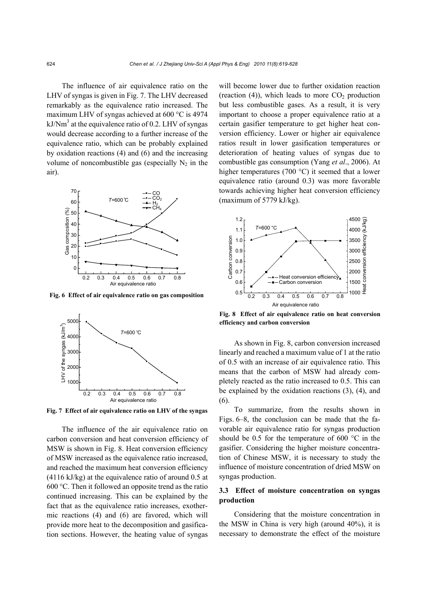The influence of air equivalence ratio on the LHV of syngas is given in Fig. 7. The LHV decreased remarkably as the equivalence ratio increased. The maximum LHV of syngas achieved at 600 °C is 4974  $kJ/Nm<sup>3</sup>$  at the equivalence ratio of 0.2. LHV of syngas would decrease according to a further increase of the equivalence ratio, which can be probably explained by oxidation reactions (4) and (6) and the increasing volume of noncombustible gas (especially  $N_2$  in the air).



**Fig. 6 Effect of air equivalence ratio on gas composition**



**Fig. 7 Effect of air equivalence ratio on LHV of the syngas**

The influence of the air equivalence ratio on carbon conversion and heat conversion efficiency of MSW is shown in Fig. 8. Heat conversion efficiency of MSW increased as the equivalence ratio increased, and reached the maximum heat conversion efficiency (4116 kJ/kg) at the equivalence ratio of around 0.5 at 600 °C. Then it followed an opposite trend as the ratio continued increasing. This can be explained by the fact that as the equivalence ratio increases, exothermic reactions (4) and (6) are favored, which will provide more heat to the decomposition and gasification sections. However, the heating value of syngas will become lower due to further oxidation reaction (reaction (4)), which leads to more  $CO<sub>2</sub>$  production but less combustible gases. As a result, it is very important to choose a proper equivalence ratio at a certain gasifier temperature to get higher heat conversion efficiency. Lower or higher air equivalence ratios result in lower gasification temperatures or deterioration of heating values of syngas due to combustible gas consumption (Yang *et al*., 2006). At higher temperatures (700 °C) it seemed that a lower equivalence ratio (around 0.3) was more favorable towards achieving higher heat conversion efficiency (maximum of 5779 kJ/kg).



**Fig. 8 Effect of air equivalence ratio on heat conversion efficiency and carbon conversion** 

As shown in Fig. 8, carbon conversion increased linearly and reached a maximum value of 1 at the ratio of 0.5 with an increase of air equivalence ratio. This means that the carbon of MSW had already completely reacted as the ratio increased to 0.5. This can be explained by the oxidation reactions (3), (4), and (6).

To summarize, from the results shown in Figs. 6–8, the conclusion can be made that the favorable air equivalence ratio for syngas production should be 0.5 for the temperature of 600 °C in the gasifier. Considering the higher moisture concentration of Chinese MSW, it is necessary to study the influence of moisture concentration of dried MSW on syngas production.

## **3.3 Effect of moisture concentration on syngas production**

Considering that the moisture concentration in the MSW in China is very high (around 40%), it is necessary to demonstrate the effect of the moisture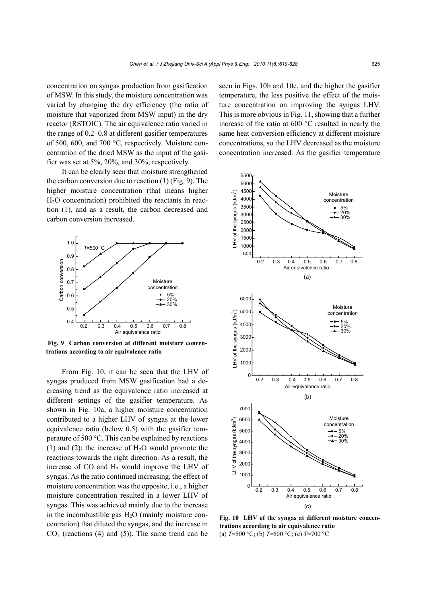concentration on syngas production from gasification of MSW. In this study, the moisture concentration was varied by changing the dry efficiency (the ratio of moisture that vaporized from MSW input) in the dry reactor (RSTOIC). The air equivalence ratio varied in the range of 0.2–0.8 at different gasifier temperatures of 500, 600, and 700 °C, respectively. Moisture concentration of the dried MSW as the input of the gasifier was set at 5%, 20%, and 30%, respectively.

It can be clearly seen that moisture strengthened the carbon conversion due to reaction (1) (Fig. 9). The higher moisture concentration (that means higher H2O concentration) prohibited the reactants in reaction (1), and as a result, the carbon decreased and carbon conversion increased.



 **Fig. 9 Carbon conversion at different moisture concentrations according to air equivalence ratio**

From Fig. 10, it can be seen that the LHV of syngas produced from MSW gasification had a decreasing trend as the equivalence ratio increased at different settings of the gasifier temperature. As shown in Fig. 10a, a higher moisture concentration contributed to a higher LHV of syngas at the lower equivalence ratio (below 0.5) with the gasifier temperature of 500 °C. This can be explained by reactions (1) and (2); the increase of  $H_2O$  would promote the reactions towards the right direction. As a result, the increase of  $CO$  and  $H<sub>2</sub>$  would improve the LHV of syngas. As the ratio continued increasing, the effect of moisture concentration was the opposite, i.e., a higher moisture concentration resulted in a lower LHV of syngas. This was achieved mainly due to the increase in the incombustible gas  $H<sub>2</sub>O$  (mainly moisture concentration) that diluted the syngas, and the increase in  $CO<sub>2</sub>$  (reactions (4) and (5)). The same trend can be seen in Figs. 10b and 10c, and the higher the gasifier temperature, the less positive the effect of the moisture concentration on improving the syngas LHV. This is more obvious in Fig. 11, showing that a further increase of the ratio at 600 °C resulted in nearly the same heat conversion efficiency at different moisture concentrations, so the LHV decreased as the moisture concentration increased. As the gasifier temperature



**Fig. 10 LHV of the syngas at different moisture concentrations according to air equivalence ratio**  (a) *T*=500 °C; (b) *T*=600 °C; (c) *T*=700 °C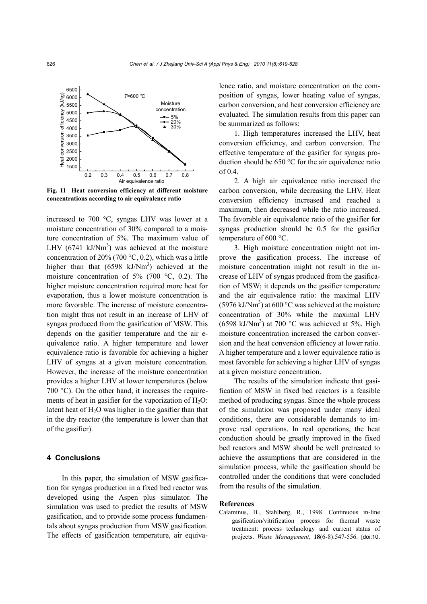

**Fig. 11 Heat conversion efficiency at different moisture concentrations according to air equivalence ratio**

increased to 700 °C, syngas LHV was lower at a moisture concentration of 30% compared to a moisture concentration of 5%. The maximum value of LHV  $(6741 \text{ kJ/Nm}^3)$  was achieved at the moisture concentration of 20% (700 °C, 0.2), which was a little higher than that  $(6598 \text{ kJ/Nm}^3)$  achieved at the moisture concentration of 5% (700 °C, 0.2). The higher moisture concentration required more heat for evaporation, thus a lower moisture concentration is more favorable. The increase of moisture concentration might thus not result in an increase of LHV of syngas produced from the gasification of MSW. This depends on the gasifier temperature and the air equivalence ratio. A higher temperature and lower equivalence ratio is favorable for achieving a higher LHV of syngas at a given moisture concentration. However, the increase of the moisture concentration provides a higher LHV at lower temperatures (below 700 °C). On the other hand, it increases the requirements of heat in gasifier for the vaporization of  $H_2O$ : latent heat of  $H_2O$  was higher in the gasifier than that in the dry reactor (the temperature is lower than that of the gasifier).

#### **4 Conclusions**

In this paper, the simulation of MSW gasification for syngas production in a fixed bed reactor was developed using the Aspen plus simulator. The simulation was used to predict the results of MSW gasification, and to provide some process fundamentals about syngas production from MSW gasification. The effects of gasification temperature, air equivalence ratio, and moisture concentration on the composition of syngas, lower heating value of syngas, carbon conversion, and heat conversion efficiency are evaluated. The simulation results from this paper can be summarized as follows:

1. High temperatures increased the LHV, heat conversion efficiency, and carbon conversion. The effective temperature of the gasifier for syngas production should be 650 °C for the air equivalence ratio of 0.4.

2. A high air equivalence ratio increased the carbon conversion, while decreasing the LHV. Heat conversion efficiency increased and reached a maximum, then decreased while the ratio increased. The favorable air equivalence ratio of the gasifier for syngas production should be 0.5 for the gasifier temperature of 600 °C.

3. High moisture concentration might not improve the gasification process. The increase of moisture concentration might not result in the increase of LHV of syngas produced from the gasification of MSW; it depends on the gasifier temperature and the air equivalence ratio: the maximal LHV (5976 kJ/Nm<sup>3</sup>) at 600 °C was achieved at the moisture concentration of 30% while the maximal LHV  $(6598 \text{ kJ/Nm}^3)$  at 700 °C was achieved at 5%. High moisture concentration increased the carbon conversion and the heat conversion efficiency at lower ratio. A higher temperature and a lower equivalence ratio is most favorable for achieving a higher LHV of syngas at a given moisture concentration.

The results of the simulation indicate that gasification of MSW in fixed bed reactors is a feasible method of producing syngas. Since the whole process of the simulation was proposed under many ideal conditions, there are considerable demands to improve real operations. In real operations, the heat conduction should be greatly improved in the fixed bed reactors and MSW should be well pretreated to achieve the assumptions that are considered in the simulation process, while the gasification should be controlled under the conditions that were concluded from the results of the simulation.

#### **References**

Calaminus, B., Stahlberg, R., 1998. Continuous in-line gasification/vitrification process for thermal waste treatment: process technology and current status of projects. *Waste Management*, **18**(6-8):547-556. [doi:10.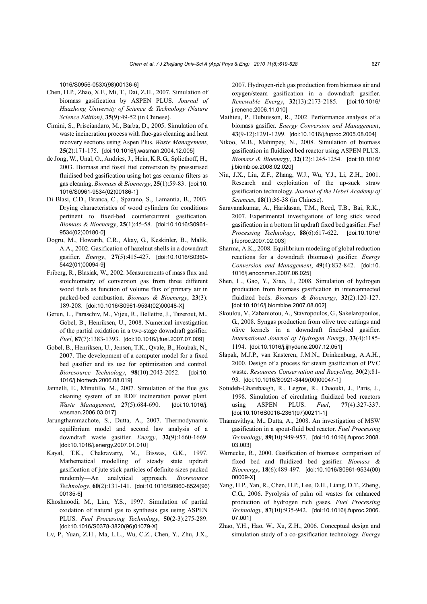1016/S0956-053X(98)00136-6]

- Chen, H.P., Zhao, X.F., Mi, T., Dai, Z.H., 2007. Simulation of biomass gasification by ASPEN PLUS. *Journal of Huazhong University of Science & Technology (Nature Science Edition)*, **35**(9):49-52 (in Chinese).
- Cimini, S., Prisciandaro, M., Barba, D., 2005. Simulation of a waste incineration process with flue-gas cleaning and heat recovery sections using Aspen Plus. *Waste Management*, **25**(2):171-175. [doi:10.1016/j.wasman.2004.12.005]
- de Jong, W., Unal, O., Andries, J., Hein, K.R.G., Spliethoff, H., 2003. Biomass and fossil fuel conversion by pressurised fluidised bed gasification using hot gas ceramic filters as gas cleaning. *Biomass & Bioenergy*, **25**(1):59-83. [doi:10. 1016/S0961-9534(02)00186-1]
- Di Blasi, C.D., Branca, C., Sparano, S., Lamantia, B., 2003. Drying characteristics of wood cylinders for conditions pertinent to fixed-bed countercurrent gasification. *Biomass & Bioenergy*, **25**(1):45-58. [doi:10.1016/S0961- 9534(02)00180-0]
- Dogru, M., Howarth, C.R., Akay, G., Keskinler, B., Malik, A.A., 2002. Gasification of hazelnut shells in a downdraft gasifier. *Energy*, **27**(5):415-427. [doi:10.1016/S0360- 5442(01)00094-9]
- Friberg, R., Blasiak, W., 2002. Measurements of mass flux and stoichiometry of conversion gas from three different wood fuels as function of volume flux of primary air in packed-bed combustion. *Biomass & Bioenergy*, **23**(3): 189-208. [doi:10.1016/S0961-9534(02)00048-X]
- Gerun, L., Paraschiv, M., Vijeu, R., Bellettre, J., Tazerout, M., Gobel, B., Henriksen, U., 2008. Numerical investigation of the partial oxidation in a two-stage downdraft gasifier. *Fuel*, **87**(7):1383-1393. [doi:10.1016/j.fuel.2007.07.009]
- Gobel, B., Henriksen, U., Jensen, T.K., Qvale, B., Houbak, N., 2007. The development of a computer model for a fixed bed gasifier and its use for optimization and control. *Bioresource Technology*, **98**(10):2043-2052. [doi:10. 1016/j.biortech.2006.08.019]
- Jannelli, E., Minutillo, M., 2007. Simulation of the flue gas cleaning system of an RDF incineration power plant. *Waste Management*, **27**(5):684-690. [doi:10.1016/j. wasman.2006.03.017]
- Jarungthammachote, S., Dutta, A., 2007. Thermodynamic equilibrium model and second law analysis of a downdraft waste gasifier. *Energy*, **32**(9):1660-1669. [doi:10.1016/j.energy.2007.01.010]
- Kayal, T.K., Chakravarty, M., Biswas, G.K., 1997. Mathematical modelling of steady state updraft gasification of jute stick particles of definite sizes packed randomly—An analytical approach. *Bioresource Technology*, **60**(2):131-141. [doi:10.1016/S0960-8524(96) 00135-6]
- Khoshnoodi, M., Lim, Y.S., 1997. Simulation of partial oxidation of natural gas to synthesis gas using ASPEN PLUS. *Fuel Processing Technology*, **50**(2-3):275-289. [doi:10.1016/S0378-3820(96)01079-X]
- Lv, P., Yuan, Z.H., Ma, L.L., Wu, C.Z., Chen, Y., Zhu, J.X.,

2007. Hydrogen-rich gas production from biomass air and oxygen/steam gasification in a downdraft gasifier. *Renewable Energy*, **32**(13):2173-2185. [doi:10.1016/ j.renene.2006.11.010]

- Mathieu, P., Dubuisson, R., 2002. Performance analysis of a biomass gasifier. *Energy Conversion and Management*, **43**(9-12):1291-1299. [doi:10.1016/j.fuproc.2005.08.004]
- Nikoo, M.B., Mahinpey, N., 2008. Simulation of biomass gasification in fluidized bed reactor using ASPEN PLUS. *Biomass & Bioenergy*, **32**(12):1245-1254. [doi:10.1016/ j.biombioe.2008.02.020]
- Niu, J.X., Liu, Z.F., Zhang, W.J., Wu, Y.J., Li, Z.H., 2001. Research and exploitation of the up-suck straw gasification technology. *Journal of the Hebei Academy of Sciences*, **18**(1):36-38 (in Chinese).
- Saravanakumar, A., Haridasan, T.M., Reed, T.B., Bai, R.K., 2007. Experimental investigations of long stick wood gasification in a bottom lit updraft fixed bed gasifier. *Fuel Processing Technology*, **88**(6):617-622. [doi:10.1016/ j.fuproc.2007.02.003]
- Sharma, A.K., 2008. Equilibrium modeling of global reduction reactions for a downdraft (biomass) gasifier. *Energy Conversion and Management*, **49**(4):832-842. [doi:10. 1016/j.enconman.2007.06.025]
- Shen, L., Gao, Y., Xiao, J., 2008. Simulation of hydrogen production from biomass gasification in interconnected fluidized beds. *Biomass & Bioenergy*, **32**(2):120-127. [doi:10.1016/j.biombioe.2007.08.002]
- Skoulou, V., Zabaniotou, A., Stavropoulos, G., Sakelaropoulos, G., 2008. Syngas production from olive tree cuttings and olive kernels in a downdraft fixed-bed gasifier. *International Journal of Hydrogen Energy*, **33**(4):1185- 1194. [doi:10.1016/j.ijhydene.2007.12.051]
- Slapak, M.J.P., van Kasteren, J.M.N., Drinkenburg, A.A.H., 2000. Design of a process for steam gasification of PVC waste. *Resources Conservation and Recycling*, **30**(2):81- 93. [doi:10.1016/S0921-3449(00)00047-1]
- Sotudeh-Gharebaagh, R., Legros, R., Chaouki, J., Paris, J., 1998. Simulation of circulating fluidized bed reactors using ASPEN PLUS. *Fuel*, **77**(4):327-337. [doi:10.1016S0016-2361(97)00211-1]
- Thamavithya, M., Dutta, A., 2008. An investigation of MSW gasification in a spout-fluid bed reactor. *Fuel Processing Technology*, **89**(10):949-957. [doi:10.1016/j.fuproc.2008. 03.003]
- Warnecke, R., 2000. Gasification of biomass: comparison of fixed bed and fluidized bed gasifier. *Biomass & Bioenergy*, **18**(6):489-497. [doi:10.1016/S0961-9534(00) 00009-X]
- Yang, H.P., Yan, R., Chen, H.P., Lee, D.H., Liang, D.T., Zheng, C.G., 2006. Pyrolysis of palm oil wastes for enhanced production of hydrogen rich gases. *Fuel Processing Technology*, **87**(10):935-942. [doi:10.1016/j.fuproc.2006. 07.001]
- Zhao, Y.H., Hao, W., Xu, Z.H., 2006. Conceptual design and simulation study of a co-gasification technology. *Energy*